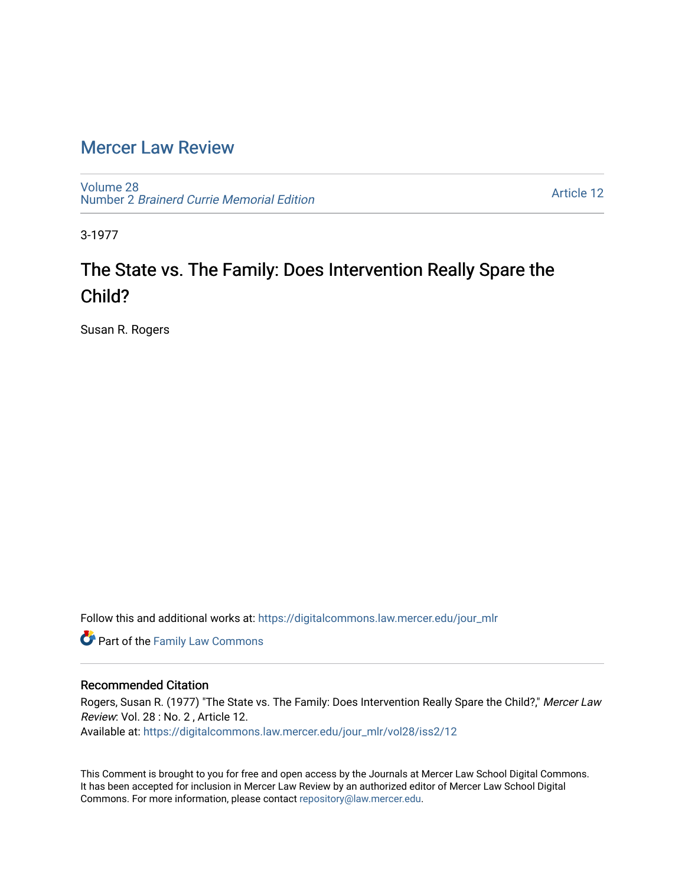## [Mercer Law Review](https://digitalcommons.law.mercer.edu/jour_mlr)

[Volume 28](https://digitalcommons.law.mercer.edu/jour_mlr/vol28) Number 2 [Brainerd Currie Memorial Edition](https://digitalcommons.law.mercer.edu/jour_mlr/vol28/iss2) 

[Article 12](https://digitalcommons.law.mercer.edu/jour_mlr/vol28/iss2/12) 

3-1977

# The State vs. The Family: Does Intervention Really Spare the Child?

Susan R. Rogers

Follow this and additional works at: [https://digitalcommons.law.mercer.edu/jour\\_mlr](https://digitalcommons.law.mercer.edu/jour_mlr?utm_source=digitalcommons.law.mercer.edu%2Fjour_mlr%2Fvol28%2Fiss2%2F12&utm_medium=PDF&utm_campaign=PDFCoverPages)

**Part of the Family Law Commons** 

#### Recommended Citation

Rogers, Susan R. (1977) "The State vs. The Family: Does Intervention Really Spare the Child?," Mercer Law Review: Vol. 28 : No. 2 , Article 12.

Available at: [https://digitalcommons.law.mercer.edu/jour\\_mlr/vol28/iss2/12](https://digitalcommons.law.mercer.edu/jour_mlr/vol28/iss2/12?utm_source=digitalcommons.law.mercer.edu%2Fjour_mlr%2Fvol28%2Fiss2%2F12&utm_medium=PDF&utm_campaign=PDFCoverPages) 

This Comment is brought to you for free and open access by the Journals at Mercer Law School Digital Commons. It has been accepted for inclusion in Mercer Law Review by an authorized editor of Mercer Law School Digital Commons. For more information, please contact [repository@law.mercer.edu.](mailto:repository@law.mercer.edu)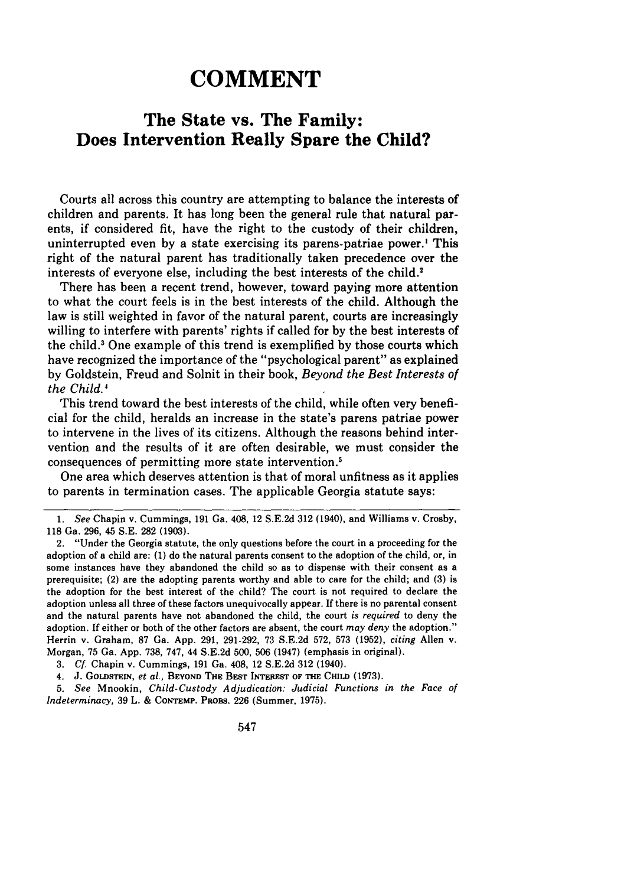## **COMMENT**

### **The State vs. The Family: Does Intervention Really Spare the Child?**

Courts all across this country are attempting to balance the interests of children and parents. It has long been the general rule that natural parents, if considered fit, have the right to the custody of their children, uninterrupted even by a state exercising its parens-patriae power.<sup>1</sup> This right of the natural parent has traditionally taken precedence over the interests of everyone else, including the best interests of the child.'

There has been a recent trend, however, toward paying more attention to what the court feels is in the best interests of the child. Although the law is still weighted in favor of the natural parent, courts are increasingly willing to interfere with parents' rights if called for **by** the best interests of the child.3 One example of this trend is exemplified **by** those courts which have recognized the importance of the "psychological parent" as explained **by** Goldstein, Freud and Solnit in their book, *Beyond the Best Interests of* the Child.<sup>4</sup>

This trend toward the best interests of the child, while often very beneficial for the child, heralds an increase in the state's parens patriae power to intervene in the lives of its citizens. Although the reasons behind intervention and the results of it are often desirable, we must consider the consequences of permitting more state intervention.5

One area which deserves attention is that of moral unfitness as it applies to parents in termination cases. The applicable Georgia statute says:

*3. Cf.* Chapin v. Cummings, 191 Ga. 408, 12 S.E.2d **312** (1940).

4. J. **GOLDSTEIN,** *et al.,* **BEYOND THE BEST INTEREST OF THE CHILD (1973).**

*5. See* Mnookin, *Child-Custody Adjudication: Judicial Functions in the Face of Indeterminacy,* 39 L. & **CONTEMP.** PROBS. 226 (Summer, 1975).

*<sup>1.</sup> See* Chapin v. Cummings, 191 Ga. 408, 12 S.E.2d **312** (1940), and Williams v, Crosby, **118** Ga. 296, 45 S.E. **282** (1903).

<sup>2. &</sup>quot;Under the Georgia statute, the only questions before the court in a proceeding for the adoption of a child are: (1) do the natural parents consent to the adoption of the child, or, in some instances have they abandoned the child so as to dispense with their consent as a prerequisite; (2) are the adopting parents worthy and able to care for the child; and (3) is the adoption for the best interest of the child? The court is not required to declare the adoption unless all three of these factors unequivocally appear. If there is no parental consent and the natural parents have not abandoned the child, the court *is required* to deny the adoption. If either or both of the other factors are absent, the court *may deny* the adoption." Herrin v. Graham, **87** Ga. App. 291, 291-292, 73 S.E.2d 572, **573** (1952), *citing* Allen v. Morgan, 75 Ga. App. 738, 747, 44 S.E.2d 500, **506** (1947) (emphasis in original).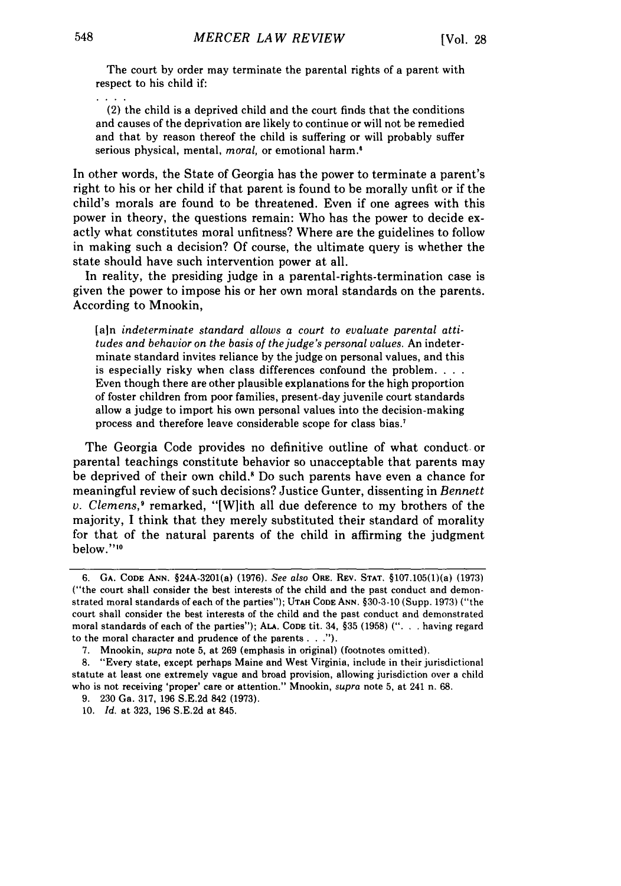The court by order may terminate the parental rights of a parent with respect to his child if:

(2) the child is a deprived child and the court finds that the conditions and causes of the deprivation are likely to continue or will not be remedied and that by reason thereof the child is suffering or will probably suffer serious physical, mental, *moral,* or emotional harm.'

In other words, the State of Georgia has the power to terminate a parent's right to his or her child if that parent is found to be morally unfit or if the child's morals are found to be threatened. Even if one agrees with this power in theory, the questions remain: Who has the power to decide exactly what constitutes moral unfitness? Where are the guidelines to follow in making such a decision? Of course, the ultimate query is whether the state should have such intervention power at all.

In reality, the presiding judge in a parental-rights-termination case is given the power to impose his or her own moral standards on the parents. According to Mnookin,

[ain *indeterminate standard allows a court to evaluate parental attitudes and behavior on the basis of the judge's personal values.* An indeterminate standard invites reliance by the judge on personal values, and this is especially risky when class differences confound the problem **...** Even though there are other plausible explanations for the high proportion of foster children from poor families, present-day juvenile court standards allow a judge to import his own personal values into the decision-making process and therefore leave considerable scope for class bias.7

The Georgia Code provides no definitive outline of what conduct or parental teachings constitute behavior so unacceptable that parents may be deprived of their own child.' Do such parents have even a chance for meaningful review of such decisions? Justice Gunter, dissenting in *Bennett v. Clemens*,<sup>9</sup> remarked, "[W]ith all due deference to my brothers of the majority, I think that they merely substituted their standard of morality for that of the natural parents of the child in affirming the judgment below."<sup>10</sup>

**<sup>6.</sup> GA. CODE ANN.** §24A-3201(a) (1976). *See also* ORE. REV. **STAT.** §107.105(1)(a) **(1973)** ("the court shall consider the best interests of the child and the past conduct and demonstrated moral standards of each of the parties"); **UTAH CODE** ANN. §30-3-10 (Supp. 1973) ("the court shall consider the best interests of the child and the past conduct and demonstrated moral standards of each of the parties"); **ALA. CODE** tit. 34, §35 (1958) ("... having regard to the moral character and prudence of the **parents...").**

<sup>7.</sup> Mnookin, *supra* note 5, at 269 (emphasis in original) (footnotes omitted).

<sup>8. &</sup>quot;Every state, except perhaps Maine and West Virginia, include in their jurisdictional statute at least one extremely vague and broad provision, allowing jurisdiction over a child who is not receiving 'proper' care or attention." Mnookin, *supra* note 5, at 241 n. 68.

<sup>9. 230</sup> Ga. 317, 196 S.E.2d 842 (1973).

<sup>10.</sup> *Id.* at 323, 196 S.E.2d at 845.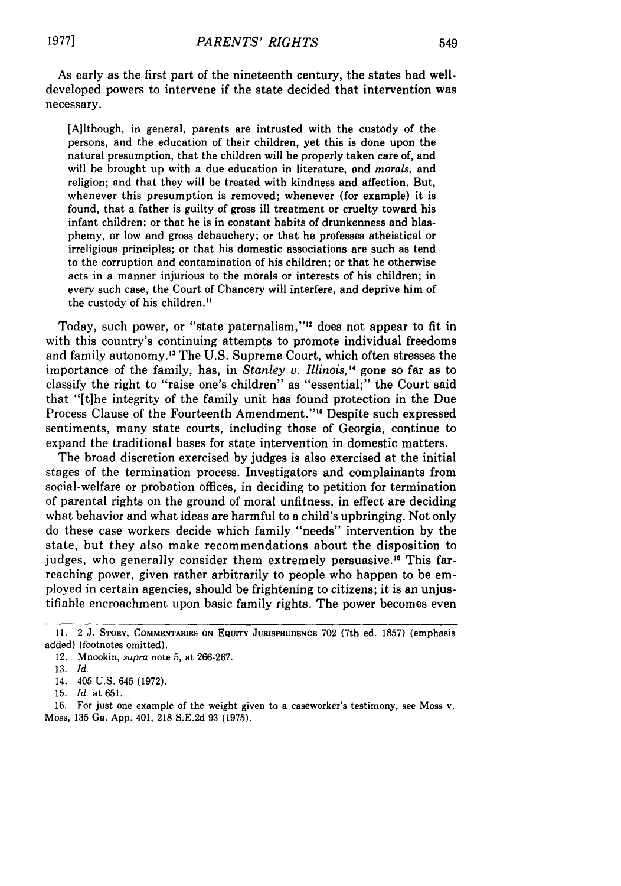As early as the first part of the nineteenth century, the states had welldeveloped powers to intervene if the state decided that intervention was necessary.

[A]lthough, in general, parents are intrusted with the custody of the persons, and the education of their children, yet this is done upon the natural presumption, that the children will be properly taken care of, and will be brought up with a due education in literature, and *morals,* and religion; and that they will be treated with kindness and affection. But, whenever this presumption is removed; whenever (for example) it is found, that a father is guilty of gross ill treatment or cruelty toward his infant children; or that he is in constant habits of drunkenness and blasphemy, or low and gross debauchery; or that he professes atheistical or irreligious principles; or that his domestic associations are such as tend to the corruption and contamination of his children; or that he otherwise acts in a manner injurious to the morals or interests of his children; in every such case, the Court of Chancery will interfere, and deprive him of the custody of his children."

Today, such power, or "state paternalism,"<sup>12</sup> does not appear to fit in with this country's continuing attempts to promote individual freedoms and family autonomy.<sup>13</sup> The U.S. Supreme Court, which often stresses the importance of the family, has, in *Stanley v. Illinois,"* gone so far as to classify the right to "raise one's children" as "essential;" the Court said that "[t]he integrity of the family unit has found protection in the Due Process Clause of the Fourteenth Amendment."<sup>15</sup> Despite such expressed sentiments, many state courts, including those of Georgia, continue to expand the traditional bases for state intervention in domestic matters.

The broad discretion exercised by judges is also exercised at the initial stages of the termination process. Investigators and complainants from social-welfare or probation offices, in deciding to petition for termination of parental rights on the ground of moral unfitness, in effect are deciding what behavior and what ideas are harmful to a child's upbringing. Not only do these case workers decide which family "needs" intervention by the state, but they also make recommendations about the disposition to judges, who generally consider them extremely persuasive.<sup>16</sup> This farreaching power, given rather arbitrarily to people who happen to be employed in certain agencies, should be frightening to citizens; it is an unjustifiable encroachment upon basic family rights. The power becomes even

<sup>11. 2</sup> J. STORY, COMMENTARIES **ON** EQUITY **JURISPRUDENCE** 702 (7th ed. 1857) (emphasis added) (footnotes omitted).

<sup>12.</sup> Mnookin, supra note 5, at 266-267.

<sup>13.</sup> *Id.*

<sup>14. 405</sup> U.S. 645 (1972).

<sup>15.</sup> *Id.* at 651.

<sup>16.</sup> For just one example of the weight given to a caseworker's testimony, see Moss v. Moss, 135 Ga. App. 401, 218 S.E.2d 93 (1975).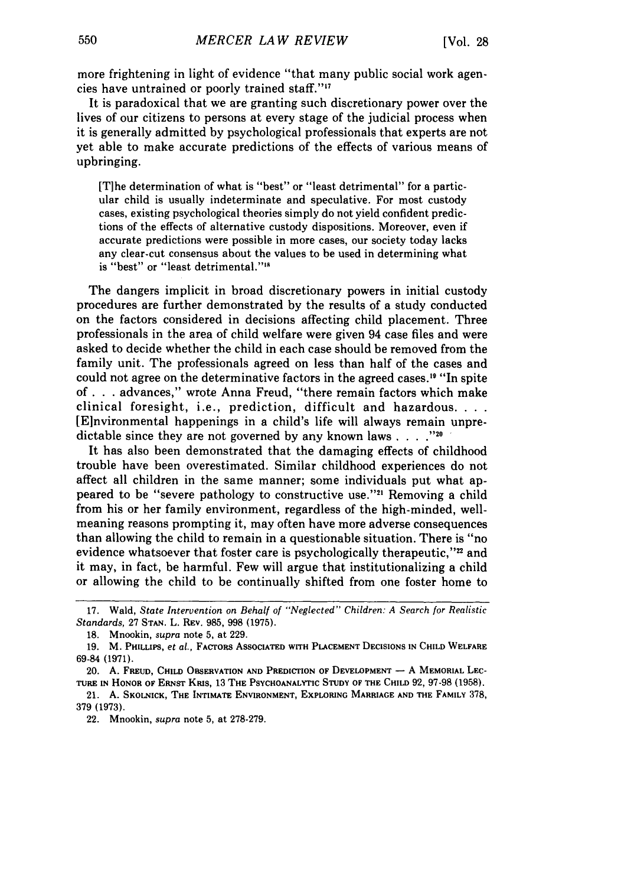more frightening in light of evidence "that many public social work agencies have untrained or poorly trained staff."<sup>17</sup>

It is paradoxical that we are granting such discretionary power over the lives of our citizens to persons at every stage of the judicial process when it is generally admitted by psychological professionals that experts are not yet able to make accurate predictions of the effects of various means of upbringing.

[Tihe determination of what is "best" or "least detrimental" for a particular child is usually indeterminate and speculative. For most custody cases, existing psychological theories simply do not yield confident predictions of the effects of alternative custody dispositions. Moreover, even if accurate predictions were possible in more cases, our society today lacks any clear-cut consensus about the values to be used in determining what is "best" or "least detrimental."<sup>18</sup>

The dangers implicit in broad discretionary powers in initial custody procedures are further demonstrated by the results of a study conducted on the factors considered in decisions affecting child placement. Three professionals in the area of child welfare were given 94 case files and were asked to decide whether the child in each case should be removed from the family unit. The professionals agreed on less than half of the cases and could not agree on the determinative factors in the agreed cases." "In spite of **. .** . advances," wrote Anna Freud, "there remain factors which make clinical foresight, i.e., prediction, difficult and hazardous **...** [Elnvironmental happenings in a child's life will always remain unpredictable since they are not governed by any known laws  $\ldots$  . . . .<sup>120</sup>

It has also been demonstrated that the damaging effects of childhood trouble have been overestimated. Similar childhood experiences do not affect all children in the same manner; some individuals put what appeared to be "severe pathology to constructive use."'" Removing a child from his or her family environment, regardless of the high-minded, wellmeaning reasons prompting it, may often have more adverse consequences than allowing the child to remain in a questionable situation. There is "no evidence whatsoever that foster care is psychologically therapeutic,"<sup>22</sup> and it may, in fact, be harmful. Few will argue that institutionalizing a child or allowing the child to be continually shifted from one foster home to

<sup>17.</sup> Wald, *State Intervention on Behalf of "Neglected" Children: A Search for Realistic Standards,* 27 STAN. L. REV. 985, 998 (1975).

<sup>18.</sup> Mnookin, *supra* note 5, at 229.

<sup>19.</sup> M. PHILLIPS, *et al.,* FACTORS ASSOCIATED **WITH PLACEMENT DECISIONS IN CHILD** WELFARE **69-84** (1971).

<sup>20.</sup> A. **FREUD, CHILD** OBSERVATION **AND** PREDICTION OF **DEVELOPMENT - A** MEMORIAL **LEC-**TURE **IN** HONOR OF ERNST KRIS, **13 THE PSYCHOANALYTIC STUDY OF THE CHILD 92, 97-98** (1958).

<sup>21.</sup> A. **SKOLNICK, THE INTIMATE ENVIRONMENT,** EXPLORING **MARRIAGE AND THE** FAMILY 378, **379 (1973).**

<sup>22.</sup> Mnookin, *supra* note **5,** at **278-279.**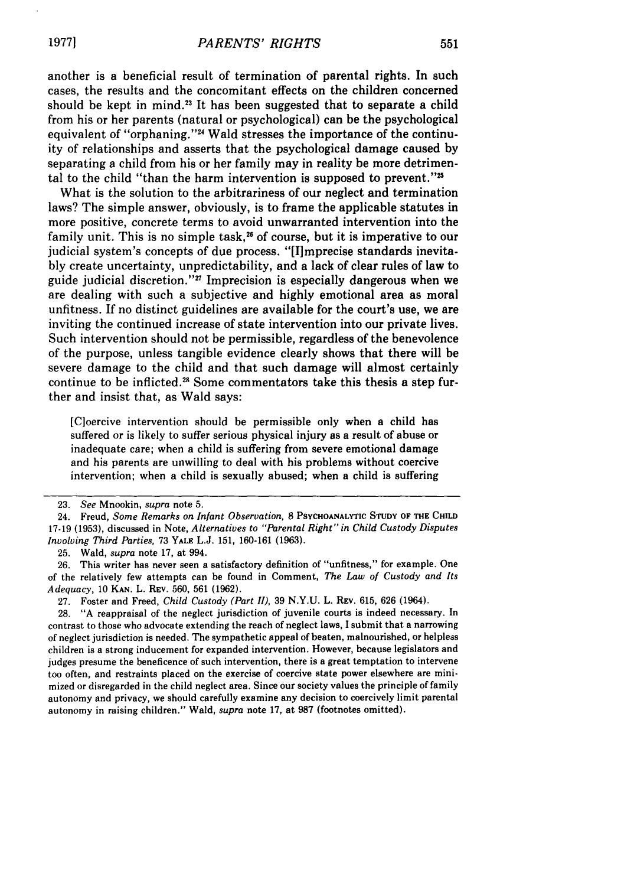another is a beneficial result of termination of parental rights. In such cases, the results and the concomitant effects on the children concerned should be kept in mind.<sup>23</sup> It has been suggested that to separate a child from his or her parents (natural or psychological) can be the psychological equivalent of "orphaning."<sup>24</sup> Wald stresses the importance of the continuity of relationships and asserts that the psychological damage caused by separating a child from his or her family may in reality be more detrimental to the child "than the harm intervention is supposed to prevent."

What is the solution to the arbitrariness of our neglect and termination laws? The simple answer, obviously, is to frame the applicable statutes in more positive, concrete terms to avoid unwarranted intervention into the family unit. This is no simple task,<sup>26</sup> of course, but it is imperative to our judicial system's concepts of due process. "[I]mprecise standards inevitably create uncertainty, unpredictability, and a lack of clear rules of law to guide judicial discretion."" Imprecision is especially dangerous when we are dealing with such a subjective and highly emotional area as moral unfitness. If no distinct guidelines are available for the court's use, we are inviting the continued increase of state intervention into our private lives. Such intervention should not be permissible, regardless of the benevolence of the purpose, unless tangible evidence clearly shows that there will be severe damage to the child and that such damage will almost certainly continue to be inflicted.<sup>28</sup> Some commentators take this thesis a step further and insist that, as Wald says:

[C]oercive intervention should be permissible only when a child has suffered or is likely to suffer serious physical injury as a result of abuse or inadequate care; when a child is suffering from severe emotional damage and his parents are unwilling to deal with his problems without coercive intervention; when a child is sexually abused; when a child is suffering

<sup>23.</sup> *See* Mnookin, *supra* note 5.

<sup>24.</sup> Freud, *Some Remarks on Infant Observation,* **8 PSYCHOANALYTIC STUDY OF THE CHILD** 17-19 (1953), discussed in Note, *Alternatives to "Parental Right" in Child Custody Disputes Involving Third Parties,* 73 **YALE** L.J. 151, 160-161 (1963).

<sup>25.</sup> Wald, *supra* note 17, at 994.

<sup>26.</sup> This writer has never seen a satisfactory definition of "unfitness," for example. One of the relatively few attempts can be found in Comment, *The Law of Custody and Its Adequacy,* 10 **KAN.** L. REV. 560, 561 (1962).

<sup>27.</sup> Foster and Freed, *Child Custody (Part II),* 39 N.Y.U. L. REV. 615, 626 (1964).

<sup>28. &</sup>quot;A reappraisal of the neglect jurisdiction of juvenile courts is indeed necessary. In contrast to those who advocate extending the reach of neglect laws, I submit that a narrowing of neglect jurisdiction is needed. The sympathetic appeal of beaten, malnourished, or helpless children is a strong inducement for expanded intervention. However, because legislators and judges presume the beneficence of such intervention, there is a great temptation to intervene too often, and restraints placed on the exercise of coercive state power elsewhere are minimized or disregarded in the child neglect area. Since our society values the principle of family autonomy and privacy, we should carefully examine any decision to coercively limit parental autonomy in raising children." Wald, *supra* note 17, at 987 (footnotes omitted).